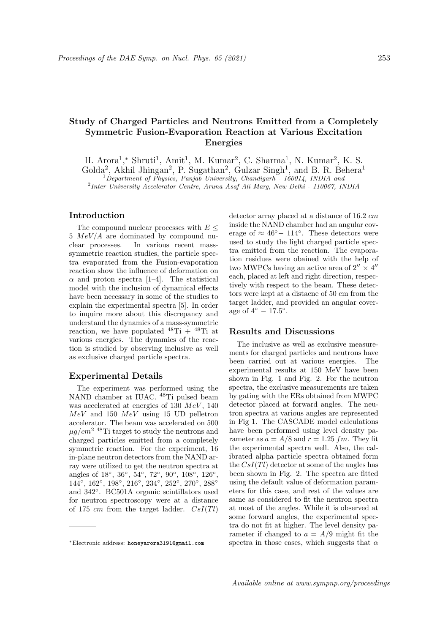# Study of Charged Particles and Neutrons Emitted from a Completely Symmetric Fusion-Evaporation Reaction at Various Excitation Energies

H. Arora<sup>1</sup>,\* Shruti<sup>1</sup>, Amit<sup>1</sup>, M. Kumar<sup>2</sup>, C. Sharma<sup>1</sup>, N. Kumar<sup>2</sup>, K. S. Golda<sup>2</sup>, Akhil Jhingan<sup>2</sup>, P. Sugathan<sup>2</sup>, Gulzar Singh<sup>1</sup>, and B. R. Behera<sup>1</sup>  $1$ Department of Physics, Panjab University, Chandigarh - 160014, INDIA and 2 Inter University Accelerator Centre, Aruna Asaf Ali Marg, New Delhi - 110067, INDIA

# Introduction

The compound nuclear processes with  $E \leq$  $5 \; MeV/A$  are dominated by compound nuclear processes. In various recent masssymmetric reaction studies, the particle spectra evaporated from the Fusion-evaporation reaction show the influence of deformation on  $\alpha$  and proton spectra [1–4]. The statistical model with the inclusion of dynamical effects have been necessary in some of the studies to explain the experimental spectra [5]. In order to inquire more about this discrepancy and understand the dynamics of a mass-symmetric reaction, we have populated  $^{48}Ti + ^{48}Ti$  at various energies. The dynamics of the reaction is studied by observing inclusive as well as exclusive charged particle spectra.

## Experimental Details

The experiment was performed using the NAND chamber at IUAC. <sup>48</sup>Ti pulsed beam was accelerated at energies of 130  $MeV$ , 140  $MeV$  and 150  $MeV$  using 15 UD pelletron accelerator. The beam was accelerated on 500  $\mu g/cm^2$  <sup>48</sup>Ti target to study the neutrons and charged particles emitted from a completely symmetric reaction. For the experiment, 16 in-plane neutron detectors from the NAND array were utilized to get the neutron spectra at angles of 18°, 36°, 54°, 72°, 90°, 108°, 126°, 144°, 162°, 198°, 216°, 234°, 252°, 270°, 288° and 342◦ . BC501A organic scintillators used for neutron spectroscopy were at a distance of 175 cm from the target ladder.  $CsI(Tl)$  detector array placed at a distance of 16.2 cm inside the NAND chamber had an angular coverage of  $\approx 46^{\circ} - 114^{\circ}$ . These detectors were used to study the light charged particle spectra emitted from the reaction. The evaporation residues were obained with the help of two MWPCs having an active area of  $2'' \times 4''$ each, placed at left and right direction, respectively with respect to the beam. These detectors were kept at a distacne of 50 cm from the target ladder, and provided an angular coverage of  $4^\circ - 17.5^\circ$ .

#### Results and Discussions

The inclusive as well as exclusive measurements for charged particles and neutrons have been carried out at various energies. The experimental results at 150 MeV have been shown in Fig. 1 and Fig. 2. For the neutron spectra, the exclusive measurements are taken by gating with the ERs obtained from MWPC detector placed at forward angles. The neutron spectra at various angles are represented in Fig 1. The CASCADE model calculations have been performed using level density parameter as  $a = A/8$  and  $r = 1.25$  fm. They fit the experimental spectra well. Also, the calibrated alpha particle spectra obtained form the  $CsI(Tl)$  detector at some of the angles has been shown in Fig. 2. The spectra are fitted using the default value of deformation parameters for this case, and rest of the values are same as considered to fit the neutron spectra at most of the angles. While it is observed at some forward angles, the experimental spectra do not fit at higher. The level density parameter if changed to  $a = A/9$  might fit the spectra in those cases, which suggests that  $\alpha$ 

<sup>∗</sup>Electronic address: honeyarora3191@gmail.com